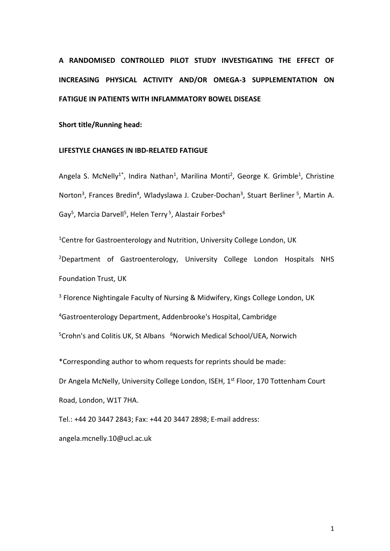# **A RANDOMISED CONTROLLED PILOT STUDY INVESTIGATING THE EFFECT OF INCREASING PHYSICAL ACTIVITY AND/OR OMEGA-3 SUPPLEMENTATION ON FATIGUE IN PATIENTS WITH INFLAMMATORY BOWEL DISEASE**

**Short title/Running head:** 

# **LIFESTYLE CHANGES IN IBD-RELATED FATIGUE**

Angela S. McNelly<sup>1\*</sup>, Indira Nathan<sup>1</sup>, Marilina Monti<sup>2</sup>, George K. Grimble<sup>1</sup>, Christine Norton<sup>3</sup>, Frances Bredin<sup>4</sup>, Wladyslawa J. Czuber-Dochan<sup>3</sup>, Stuart Berliner<sup>5</sup>, Martin A. Gay<sup>5</sup>, Marcia Darvell<sup>5</sup>, Helen Terry<sup>5</sup>, Alastair Forbes<sup>6</sup>

<sup>1</sup>Centre for Gastroenterology and Nutrition, University College London, UK

<sup>2</sup>Department of Gastroenterology, University College London Hospitals NHS Foundation Trust, UK

<sup>3</sup> Florence Nightingale Faculty of Nursing & Midwifery, Kings College London, UK

<sup>4</sup>Gastroenterology Department, Addenbrooke's Hospital, Cambridge

<sup>5</sup>Crohn's and Colitis UK, St Albans <sup>6</sup>Norwich Medical School/UEA, Norwich

\*Corresponding author to whom requests for reprints should be made:

Dr Angela McNelly, University College London, ISEH, 1<sup>st</sup> Floor, 170 Tottenham Court Road, London, W1T 7HA.

Tel.: +44 20 3447 2843; Fax: +44 20 3447 2898; E-mail address:

[angela.mcnelly.10@ucl.ac.uk](mailto:angela.mcnelly.10@ucl.ac.uk)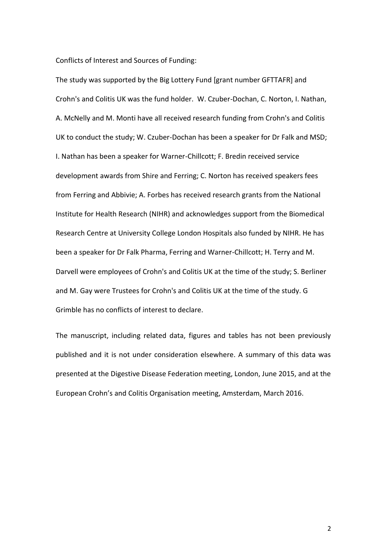Conflicts of Interest and Sources of Funding:

The study was supported by the Big Lottery Fund [grant number GFTTAFR] and Crohn's and Colitis UK was the fund holder. W. Czuber-Dochan, C. Norton, I. Nathan, A. McNelly and M. Monti have all received research funding from Crohn's and Colitis UK to conduct the study; W. Czuber-Dochan has been a speaker for Dr Falk and MSD; I. Nathan has been a speaker for Warner-Chillcott; F. Bredin received service development awards from Shire and Ferring; C. Norton has received speakers fees from Ferring and Abbivie; A. Forbes has received research grants from the National Institute for Health Research (NIHR) and acknowledges support from the Biomedical Research Centre at University College London Hospitals also funded by NIHR. He has been a speaker for Dr Falk Pharma, Ferring and Warner-Chillcott; H. Terry and M. Darvell were employees of Crohn's and Colitis UK at the time of the study; S. Berliner and M. Gay were Trustees for Crohn's and Colitis UK at the time of the study. G Grimble has no conflicts of interest to declare.

The manuscript, including related data, figures and tables has not been previously published and it is not under consideration elsewhere. A summary of this data was presented at the Digestive Disease Federation meeting, London, June 2015, and at the European Crohn's and Colitis Organisation meeting, Amsterdam, March 2016.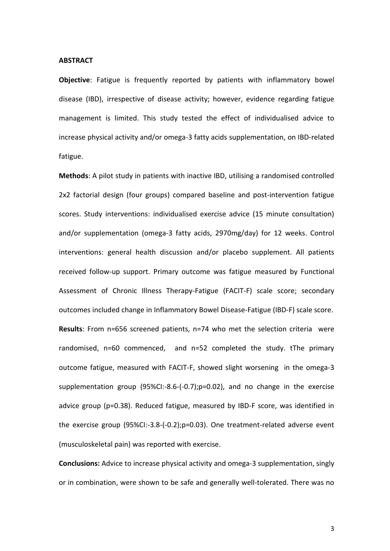#### **ABSTRACT**

**Objective**: Fatigue is frequently reported by patients with inflammatory bowel disease (IBD), irrespective of disease activity; however, evidence regarding fatigue management is limited. This study tested the effect of individualised advice to increase physical activity and/or omega-3 fatty acids supplementation, on IBD-related fatigue.

**Methods**: A pilot study in patients with inactive IBD, utilising a randomised controlled 2x2 factorial design (four groups) compared baseline and post-intervention fatigue scores. Study interventions: individualised exercise advice (15 minute consultation) and/or supplementation (omega-3 fatty acids, 2970mg/day) for 12 weeks. Control interventions: general health discussion and/or placebo supplement. All patients received follow-up support. Primary outcome was fatigue measured by Functional Assessment of Chronic Illness Therapy-Fatigue (FACIT-F) scale score; secondary outcomes included change in Inflammatory Bowel Disease-Fatigue (IBD-F) scale score. **Results**: From n=656 screened patients, n=74 who met the selection criteria were randomised, n=60 commenced, and n=52 completed the study. tThe primary outcome fatigue, measured with FACIT-F, showed slight worsening in the omega-3 supplementation group (95%CI:-8.6-(-0.7);p=0.02), and no change in the exercise advice group (p=0.38). Reduced fatigue, measured by IBD-F score, was identified in the exercise group (95%CI:-3.8-(-0.2);p=0.03). One treatment-related adverse event (musculoskeletal pain) was reported with exercise.

**Conclusions:** Advice to increase physical activity and omega-3 supplementation, singly or in combination, were shown to be safe and generally well-tolerated. There was no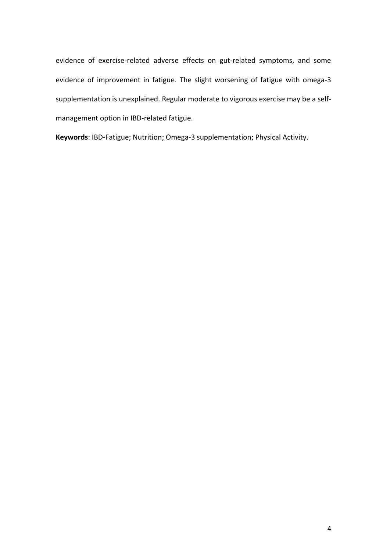evidence of exercise-related adverse effects on gut-related symptoms, and some evidence of improvement in fatigue. The slight worsening of fatigue with omega-3 supplementation is unexplained. Regular moderate to vigorous exercise may be a selfmanagement option in IBD-related fatigue.

**Keywords**: IBD-Fatigue; Nutrition; Omega-3 supplementation; Physical Activity.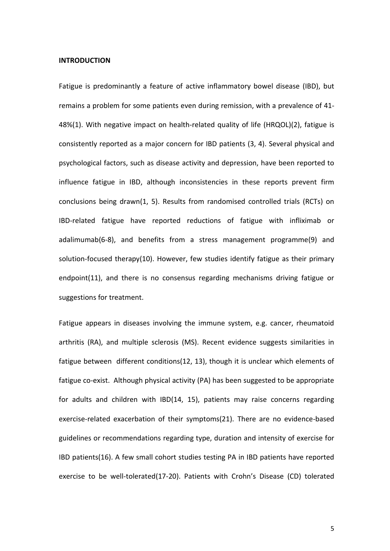#### **INTRODUCTION**

Fatigue is predominantly a feature of active inflammatory bowel disease (IBD), but remains a problem for some patients even during remission, with a prevalence of 41- 48%(1). With negative impact on health-related quality of life (HRQOL)(2), fatigue is consistently reported as a major concern for IBD patients (3, 4). Several physical and psychological factors, such as disease activity and depression, have been reported to influence fatigue in IBD, although inconsistencies in these reports prevent firm conclusions being drawn(1, 5). Results from randomised controlled trials (RCTs) on IBD-related fatigue have reported reductions of fatigue with infliximab or adalimumab(6-8), and benefits from a stress management programme(9) and solution-focused therapy(10). However, few studies identify fatigue as their primary endpoint(11), and there is no consensus regarding mechanisms driving fatigue or suggestions for treatment.

Fatigue appears in diseases involving the immune system, e.g. cancer, rheumatoid arthritis (RA), and multiple sclerosis (MS). Recent evidence suggests similarities in fatigue between different conditions(12, 13), though it is unclear which elements of fatigue co-exist. Although physical activity (PA) has been suggested to be appropriate for adults and children with IBD(14, 15), patients may raise concerns regarding exercise-related exacerbation of their symptoms(21). There are no evidence-based guidelines or recommendations regarding type, duration and intensity of exercise for IBD patients(16). A few small cohort studies testing PA in IBD patients have reported exercise to be well-tolerated(17-20). Patients with Crohn's Disease (CD) tolerated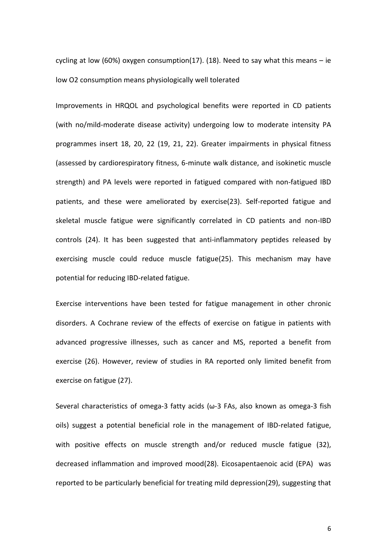cycling at low (60%) oxygen consumption(17). (18). Need to say what this means  $-$  ie low O2 consumption means physiologically well tolerated

Improvements in HRQOL and psychological benefits were reported in CD patients (with no/mild-moderate disease activity) undergoing low to moderate intensity PA programmes insert 18, 20, 22 (19, 21, 22). Greater impairments in physical fitness (assessed by cardiorespiratory fitness, 6-minute walk distance, and isokinetic muscle strength) and PA levels were reported in fatigued compared with non-fatigued IBD patients, and these were ameliorated by exercise(23). Self-reported fatigue and skeletal muscle fatigue were significantly correlated in CD patients and non-IBD controls (24). It has been suggested that anti-inflammatory peptides released by exercising muscle could reduce muscle fatigue(25). This mechanism may have potential for reducing IBD-related fatigue.

Exercise interventions have been tested for fatigue management in other chronic disorders. A Cochrane review of the effects of exercise on fatigue in patients with advanced progressive illnesses, such as cancer and MS, reported a benefit from exercise (26). However, review of studies in RA reported only limited benefit from exercise on fatigue (27).

Several characteristics of omega-3 fatty acids (ω-3 FAs, also known as omega-3 fish oils) suggest a potential beneficial role in the management of IBD-related fatigue, with positive effects on muscle strength and/or reduced muscle fatigue (32), decreased inflammation and improved mood(28). Eicosapentaenoic acid (EPA) was reported to be particularly beneficial for treating mild depression(29), suggesting that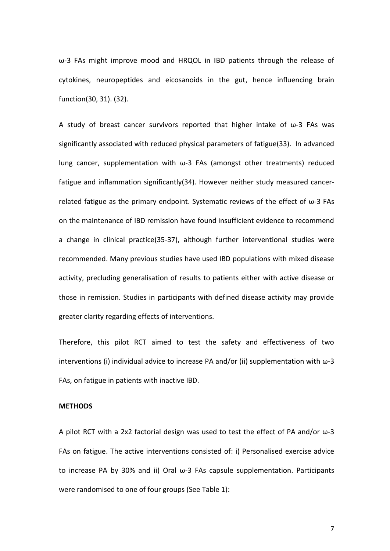ω-3 FAs might improve mood and HRQOL in IBD patients through the release of cytokines, neuropeptides and eicosanoids in the gut, hence influencing brain function(30, 31). (32).

A study of breast cancer survivors reported that higher intake of  $\omega$ -3 FAs was significantly associated with reduced physical parameters of fatigue(33). In advanced lung cancer, supplementation with  $\omega$ -3 FAs (amongst other treatments) reduced fatigue and inflammation significantly(34). However neither study measured cancerrelated fatigue as the primary endpoint. Systematic reviews of the effect of  $\omega$ -3 FAs on the maintenance of IBD remission have found insufficient evidence to recommend a change in clinical practice(35-37), although further interventional studies were recommended. Many previous studies have used IBD populations with mixed disease activity, precluding generalisation of results to patients either with active disease or those in remission. Studies in participants with defined disease activity may provide greater clarity regarding effects of interventions.

Therefore, this pilot RCT aimed to test the safety and effectiveness of two interventions (i) individual advice to increase PA and/or (ii) supplementation with  $\omega$ -3 FAs, on fatigue in patients with inactive IBD.

## **METHODS**

A pilot RCT with a 2x2 factorial design was used to test the effect of PA and/or  $\omega$ -3 FAs on fatigue. The active interventions consisted of: i) Personalised exercise advice to increase PA by 30% and ii) Oral ω-3 FAs capsule supplementation. Participants were randomised to one of four groups (See Table 1):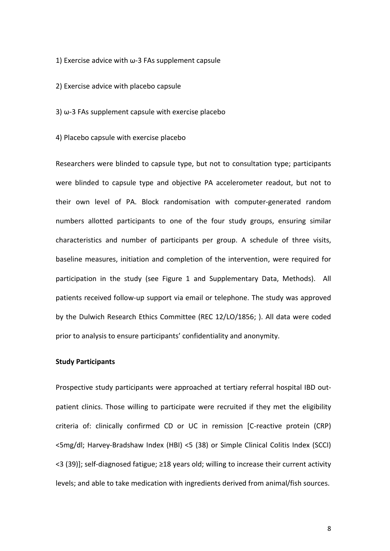1) Exercise advice with ω-3 FAs supplement capsule

2) Exercise advice with placebo capsule

3) ω-3 FAs supplement capsule with exercise placebo

4) Placebo capsule with exercise placebo

Researchers were blinded to capsule type, but not to consultation type; participants were blinded to capsule type and objective PA accelerometer readout, but not to their own level of PA. Block randomisation with computer-generated random numbers allotted participants to one of the four study groups, ensuring similar characteristics and number of participants per group. A schedule of three visits, baseline measures, initiation and completion of the intervention, were required for participation in the study (see Figure 1 and Supplementary Data, Methods). All patients received follow-up support via email or telephone. The study was approved by the Dulwich Research Ethics Committee (REC 12/LO/1856; ). All data were coded prior to analysis to ensure participants' confidentiality and anonymity.

## **Study Participants**

Prospective study participants were approached at tertiary referral hospital IBD outpatient clinics. Those willing to participate were recruited if they met the eligibility criteria of: clinically confirmed CD or UC in remission [C-reactive protein (CRP) <5mg/dl; Harvey-Bradshaw Index (HBI) <5 (38) or Simple Clinical Colitis Index (SCCI) <3 (39)]; self-diagnosed fatigue; ≥18 years old; willing to increase their current activity levels; and able to take medication with ingredients derived from animal/fish sources.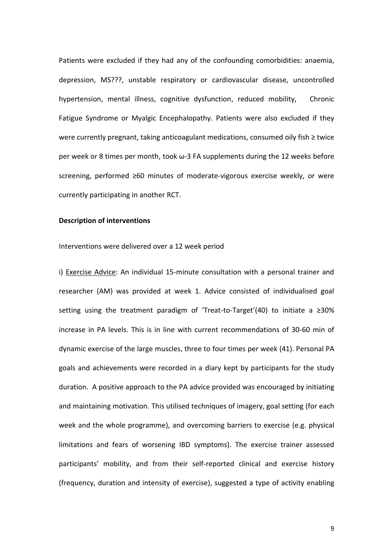Patients were excluded if they had any of the confounding comorbidities: anaemia, depression, MS???, unstable respiratory or cardiovascular disease, uncontrolled hypertension, mental illness, cognitive dysfunction, reduced mobility, Chronic Fatigue Syndrome or Myalgic Encephalopathy. Patients were also excluded if they were currently pregnant, taking anticoagulant medications, consumed oily fish ≥ twice per week or 8 times per month, took ω-3 FA supplements during the 12 weeks before screening, performed ≥60 minutes of moderate-vigorous exercise weekly, or were currently participating in another RCT.

## **Description of interventions**

#### Interventions were delivered over a 12 week period

i) Exercise Advice: An individual 15-minute consultation with a personal trainer and researcher (AM) was provided at week 1. Advice consisted of individualised goal setting using the treatment paradigm of 'Treat-to-Target'(40) to initiate a ≥30% increase in PA levels. This is in line with current recommendations of 30-60 min of dynamic exercise of the large muscles, three to four times per week (41). Personal PA goals and achievements were recorded in a diary kept by participants for the study duration. A positive approach to the PA advice provided was encouraged by initiating and maintaining motivation. This utilised techniques of imagery, goal setting (for each week and the whole programme), and overcoming barriers to exercise (e.g. physical limitations and fears of worsening IBD symptoms). The exercise trainer assessed participants' mobility, and from their self-reported clinical and exercise history (frequency, duration and intensity of exercise), suggested a type of activity enabling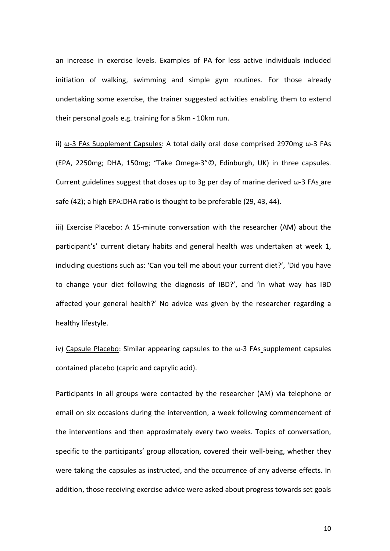an increase in exercise levels. Examples of PA for less active individuals included initiation of walking, swimming and simple gym routines. For those already undertaking some exercise, the trainer suggested activities enabling them to extend their personal goals e.g. training for a 5km - 10km run.

ii) ω-3 FAs Supplement Capsules: A total daily oral dose comprised 2970mg ω-3 FAs (EPA, 2250mg; DHA, 150mg; "Take Omega-3"©, Edinburgh, UK) in three capsules. Current guidelines suggest that doses up to 3g per day of marine derived  $\omega$ -3 FAs are safe (42); a high EPA:DHA ratio is thought to be preferable (29, 43, 44).

iii) Exercise Placebo: A 15-minute conversation with the researcher (AM) about the participant's' current dietary habits and general health was undertaken at week 1, including questions such as: 'Can you tell me about your current diet?', 'Did you have to change your diet following the diagnosis of IBD?', and 'In what way has IBD affected your general health?' No advice was given by the researcher regarding a healthy lifestyle.

iv) Capsule Placebo: Similar appearing capsules to the  $\omega$ -3 FAs supplement capsules contained placebo (capric and caprylic acid).

Participants in all groups were contacted by the researcher (AM) via telephone or email on six occasions during the intervention, a week following commencement of the interventions and then approximately every two weeks. Topics of conversation, specific to the participants' group allocation, covered their well-being, whether they were taking the capsules as instructed, and the occurrence of any adverse effects. In addition, those receiving exercise advice were asked about progress towards set goals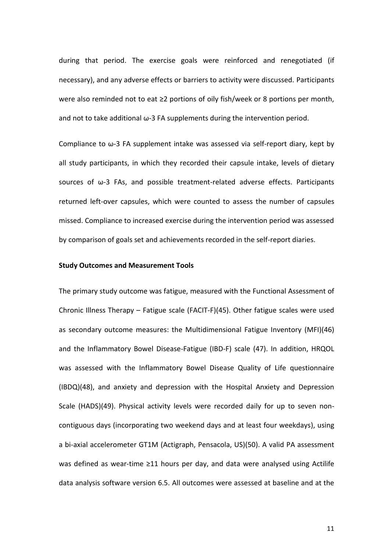during that period. The exercise goals were reinforced and renegotiated (if necessary), and any adverse effects or barriers to activity were discussed. Participants were also reminded not to eat ≥2 portions of oily fish/week or 8 portions per month, and not to take additional ω-3 FA supplements during the intervention period.

Compliance to  $\omega$ -3 FA supplement intake was assessed via self-report diary, kept by all study participants, in which they recorded their capsule intake, levels of dietary sources of ω-3 FAs, and possible treatment-related adverse effects. Participants returned left-over capsules, which were counted to assess the number of capsules missed. Compliance to increased exercise during the intervention period was assessed by comparison of goals set and achievements recorded in the self-report diaries.

## **Study Outcomes and Measurement Tools**

The primary study outcome was fatigue, measured with the Functional Assessment of Chronic Illness Therapy – Fatigue scale (FACIT-F)(45). Other fatigue scales were used as secondary outcome measures: the Multidimensional Fatigue Inventory (MFI)(46) and the Inflammatory Bowel Disease-Fatigue (IBD-F) scale (47). In addition, HRQOL was assessed with the Inflammatory Bowel Disease Quality of Life questionnaire (IBDQ)(48), and anxiety and depression with the Hospital Anxiety and Depression Scale (HADS)(49). Physical activity levels were recorded daily for up to seven noncontiguous days (incorporating two weekend days and at least four weekdays), using a bi-axial accelerometer GT1M (Actigraph, Pensacola, US)(50). A valid PA assessment was defined as wear-time ≥11 hours per day, and data were analysed using Actilife data analysis software version 6.5. All outcomes were assessed at baseline and at the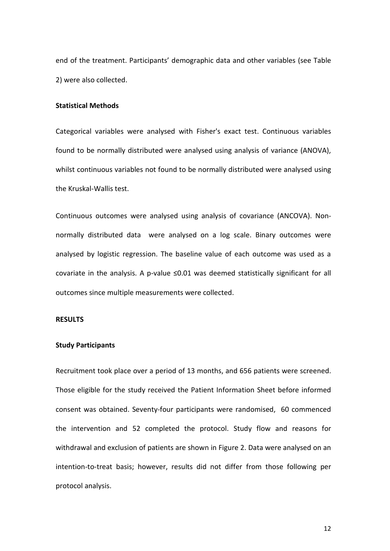end of the treatment. Participants' demographic data and other variables (see Table 2) were also collected.

# **Statistical Methods**

Categorical variables were analysed with Fisher's exact test. Continuous variables found to be normally distributed were analysed using analysis of variance (ANOVA), whilst continuous variables not found to be normally distributed were analysed using the Kruskal-Wallis test.

Continuous outcomes were analysed using analysis of covariance (ANCOVA). Nonnormally distributed data were analysed on a log scale. Binary outcomes were analysed by logistic regression. The baseline value of each outcome was used as a covariate in the analysis. A p-value  $\leq 0.01$  was deemed statistically significant for all outcomes since multiple measurements were collected.

# **RESULTS**

#### **Study Participants**

Recruitment took place over a period of 13 months, and 656 patients were screened. Those eligible for the study received the Patient Information Sheet before informed consent was obtained. Seventy-four participants were randomised, 60 commenced the intervention and 52 completed the protocol. Study flow and reasons for withdrawal and exclusion of patients are shown in Figure 2. Data were analysed on an intention-to-treat basis; however, results did not differ from those following per protocol analysis.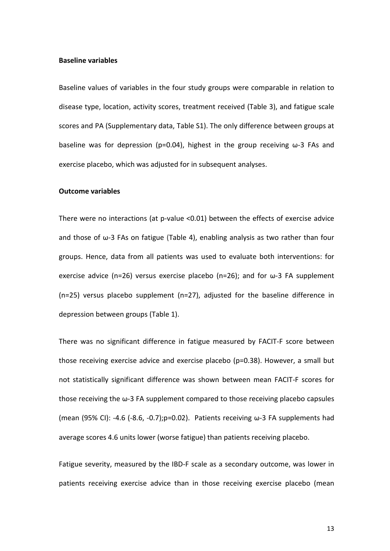#### **Baseline variables**

Baseline values of variables in the four study groups were comparable in relation to disease type, location, activity scores, treatment received (Table 3), and fatigue scale scores and PA (Supplementary data, Table S1). The only difference between groups at baseline was for depression (p=0.04), highest in the group receiving  $\omega$ -3 FAs and exercise placebo, which was adjusted for in subsequent analyses.

#### **Outcome variables**

There were no interactions (at p-value <0.01) between the effects of exercise advice and those of ω-3 FAs on fatigue (Table 4), enabling analysis as two rather than four groups. Hence, data from all patients was used to evaluate both interventions: for exercise advice (n=26) versus exercise placebo (n=26); and for  $\omega$ -3 FA supplement (n=25) versus placebo supplement (n=27), adjusted for the baseline difference in depression between groups (Table 1).

There was no significant difference in fatigue measured by FACIT-F score between those receiving exercise advice and exercise placebo (p=0.38). However, a small but not statistically significant difference was shown between mean FACIT-F scores for those receiving the ω-3 FA supplement compared to those receiving placebo capsules (mean (95% CI): -4.6 (-8.6, -0.7);  $p=0.02$ ). Patients receiving  $\omega$ -3 FA supplements had average scores 4.6 units lower (worse fatigue) than patients receiving placebo.

Fatigue severity, measured by the IBD-F scale as a secondary outcome, was lower in patients receiving exercise advice than in those receiving exercise placebo (mean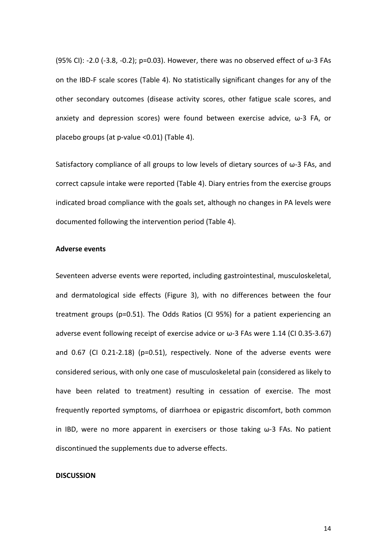(95% CI): -2.0 (-3.8, -0.2); p=0.03). However, there was no observed effect of  $\omega$ -3 FAs on the IBD-F scale scores (Table 4). No statistically significant changes for any of the other secondary outcomes (disease activity scores, other fatigue scale scores, and anxiety and depression scores) were found between exercise advice, ω-3 FA, or placebo groups (at p-value <0.01) (Table 4).

Satisfactory compliance of all groups to low levels of dietary sources of ω-3 FAs, and correct capsule intake were reported (Table 4). Diary entries from the exercise groups indicated broad compliance with the goals set, although no changes in PA levels were documented following the intervention period (Table 4).

## **Adverse events**

Seventeen adverse events were reported, including gastrointestinal, musculoskeletal, and dermatological side effects (Figure 3), with no differences between the four treatment groups (p=0.51). The Odds Ratios (CI 95%) for a patient experiencing an adverse event following receipt of exercise advice or  $\omega$ -3 FAs were 1.14 (CI 0.35-3.67) and 0.67 (CI 0.21-2.18) (p=0.51), respectively. None of the adverse events were considered serious, with only one case of musculoskeletal pain (considered as likely to have been related to treatment) resulting in cessation of exercise. The most frequently reported symptoms, of diarrhoea or epigastric discomfort, both common in IBD, were no more apparent in exercisers or those taking  $\omega$ -3 FAs. No patient discontinued the supplements due to adverse effects.

#### **DISCUSSION**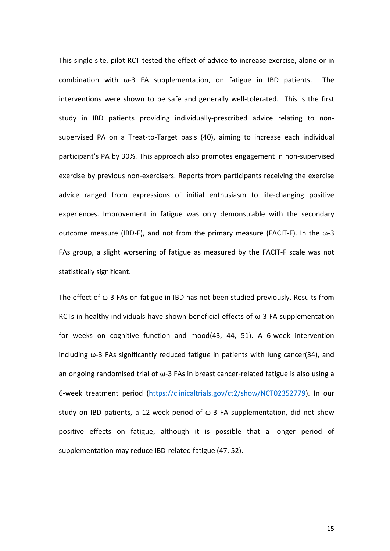This single site, pilot RCT tested the effect of advice to increase exercise, alone or in combination with ω-3 FA supplementation, on fatigue in IBD patients. The interventions were shown to be safe and generally well-tolerated. This is the first study in IBD patients providing individually-prescribed advice relating to nonsupervised PA on a Treat-to-Target basis (40), aiming to increase each individual participant's PA by 30%. This approach also promotes engagement in non-supervised exercise by previous non-exercisers. Reports from participants receiving the exercise advice ranged from expressions of initial enthusiasm to life-changing positive experiences. Improvement in fatigue was only demonstrable with the secondary outcome measure (IBD-F), and not from the primary measure (FACIT-F). In the ω-3 FAs group, a slight worsening of fatigue as measured by the FACIT-F scale was not statistically significant.

The effect of ω-3 FAs on fatigue in IBD has not been studied previously. Results from RCTs in healthy individuals have shown beneficial effects of ω-3 FA supplementation for weeks on cognitive function and mood(43, 44, 51). A 6-week intervention including ω-3 FAs significantly reduced fatigue in patients with lung cancer(34), and an ongoing randomised trial of ω-3 FAs in breast cancer-related fatigue is also using a 6-week treatment period [\(https://clinicaltrials.gov/ct2/show/NCT02352779\)](https://clinicaltrials.gov/ct2/show/NCT02352779). In our study on IBD patients, a 12-week period of ω-3 FA supplementation, did not show positive effects on fatigue, although it is possible that a longer period of supplementation may reduce IBD-related fatigue (47, 52).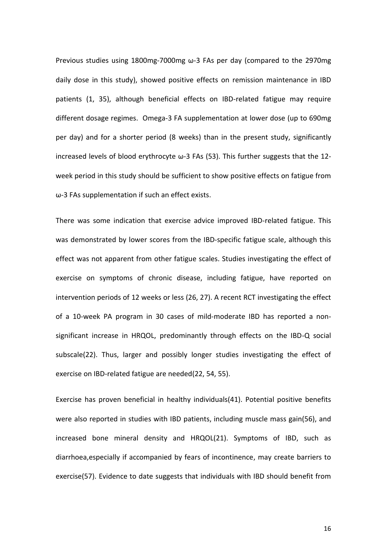Previous studies using 1800mg-7000mg ω-3 FAs per day (compared to the 2970mg daily dose in this study), showed positive effects on remission maintenance in IBD patients (1, 35), although beneficial effects on IBD-related fatigue may require different dosage regimes. Omega-3 FA supplementation at lower dose (up to 690mg per day) and for a shorter period (8 weeks) than in the present study, significantly increased levels of blood erythrocyte  $\omega$ -3 FAs (53). This further suggests that the 12week period in this study should be sufficient to show positive effects on fatigue from ω-3 FAs supplementation if such an effect exists.

There was some indication that exercise advice improved IBD-related fatigue. This was demonstrated by lower scores from the IBD-specific fatigue scale, although this effect was not apparent from other fatigue scales. Studies investigating the effect of exercise on symptoms of chronic disease, including fatigue, have reported on intervention periods of 12 weeks or less (26, 27). A recent RCT investigating the effect of a 10-week PA program in 30 cases of mild-moderate IBD has reported a nonsignificant increase in HRQOL, predominantly through effects on the IBD-Q social subscale(22). Thus, larger and possibly longer studies investigating the effect of exercise on IBD-related fatigue are needed(22, 54, 55).

Exercise has proven beneficial in healthy individuals(41). Potential positive benefits were also reported in studies with IBD patients, including muscle mass gain(56), and increased bone mineral density and HRQOL(21). Symptoms of IBD, such as diarrhoea,especially if accompanied by fears of incontinence, may create barriers to exercise(57). Evidence to date suggests that individuals with IBD should benefit from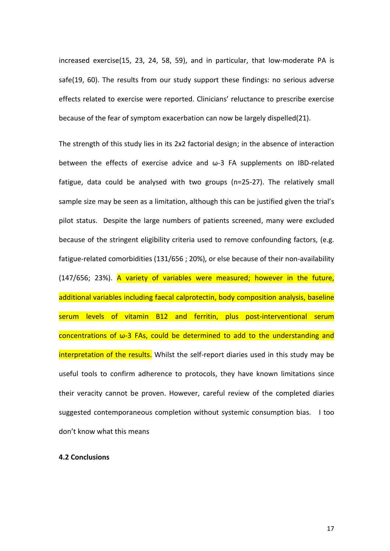increased exercise(15, 23, 24, 58, 59), and in particular, that low-moderate PA is safe(19, 60). The results from our study support these findings: no serious adverse effects related to exercise were reported. Clinicians' reluctance to prescribe exercise because of the fear of symptom exacerbation can now be largely dispelled(21).

The strength of this study lies in its 2x2 factorial design; in the absence of interaction between the effects of exercise advice and ω-3 FA supplements on IBD-related fatigue, data could be analysed with two groups (n=25-27). The relatively small sample size may be seen as a limitation, although this can be justified given the trial's pilot status. Despite the large numbers of patients screened, many were excluded because of the stringent eligibility criteria used to remove confounding factors, (e.g. fatigue-related comorbidities (131/656 ; 20%), or else because of their non-availability (147/656; 23%). A variety of variables were measured; however in the future, additional variables including faecal calprotectin, body composition analysis, baseline serum levels of vitamin B12 and ferritin, plus post-interventional serum concentrations of ω-3 FAs, could be determined to add to the understanding and interpretation of the results. Whilst the self-report diaries used in this study may be useful tools to confirm adherence to protocols, they have known limitations since their veracity cannot be proven. However, careful review of the completed diaries suggested contemporaneous completion without systemic consumption bias. I too don't know what this means

# **4.2 Conclusions**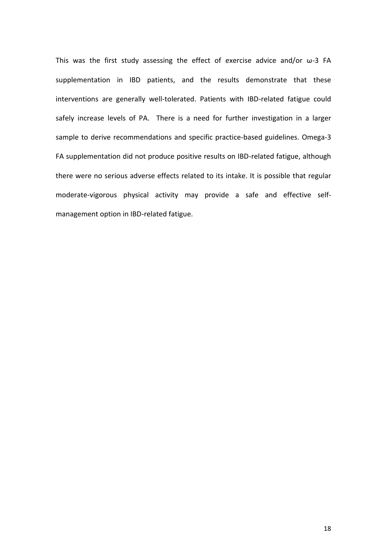This was the first study assessing the effect of exercise advice and/or ω-3 FA supplementation in IBD patients, and the results demonstrate that these interventions are generally well-tolerated. Patients with IBD-related fatigue could safely increase levels of PA. There is a need for further investigation in a larger sample to derive recommendations and specific practice-based guidelines. Omega-3 FA supplementation did not produce positive results on IBD-related fatigue, although there were no serious adverse effects related to its intake. It is possible that regular moderate-vigorous physical activity may provide a safe and effective selfmanagement option in IBD-related fatigue.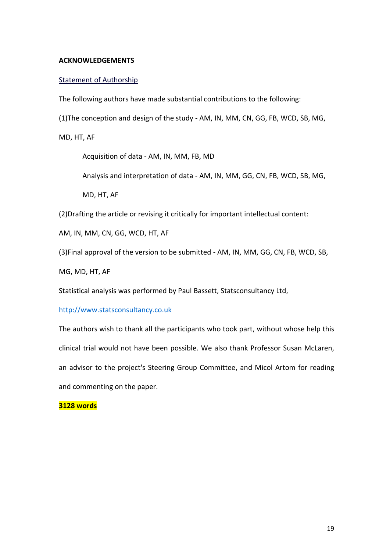# **ACKNOWLEDGEMENTS**

# Statement of Authorship

The following authors have made substantial contributions to the following:

(1)The conception and design of the study - AM, IN, MM, CN, GG, FB, WCD, SB, MG,

MD, HT, AF

Acquisition of data - AM, IN, MM, FB, MD

Analysis and interpretation of data - AM, IN, MM, GG, CN, FB, WCD, SB, MG,

MD, HT, AF

(2)Drafting the article or revising it critically for important intellectual content:

AM, IN, MM, CN, GG, WCD, HT, AF

(3)Final approval of the version to be submitted - AM, IN, MM, GG, CN, FB, WCD, SB,

MG, MD, HT, AF

Statistical analysis was performed by Paul Bassett, Statsconsultancy Ltd,

[http://www.statsconsultancy.co.uk](http://www.statsconsultancy.co.uk/)

The authors wish to thank all the participants who took part, without whose help this clinical trial would not have been possible. We also thank Professor Susan McLaren, an advisor to the project's Steering Group Committee, and Micol Artom for reading and commenting on the paper.

# **3128 words**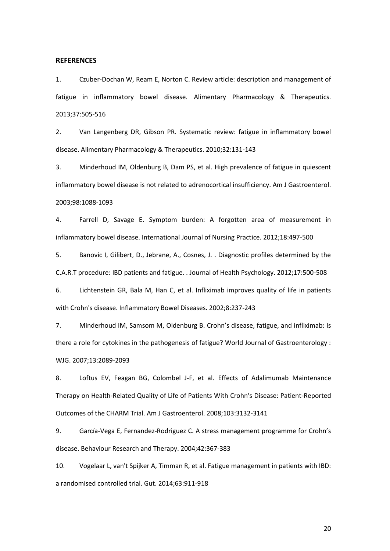#### **REFERENCES**

1. Czuber-Dochan W, Ream E, Norton C. Review article: description and management of fatigue in inflammatory bowel disease. Alimentary Pharmacology & Therapeutics. 2013;37:505-516

2. Van Langenberg DR, Gibson PR. Systematic review: fatigue in inflammatory bowel disease. Alimentary Pharmacology & Therapeutics. 2010;32:131-143

3. Minderhoud IM, Oldenburg B, Dam PS, et al. High prevalence of fatigue in quiescent inflammatory bowel disease is not related to adrenocortical insufficiency. Am J Gastroenterol. 2003;98:1088-1093

4. Farrell D, Savage E. Symptom burden: A forgotten area of measurement in inflammatory bowel disease. International Journal of Nursing Practice. 2012;18:497-500

5. Banovic I, Gilibert, D., Jebrane, A., Cosnes, J. . Diagnostic profiles determined by the C.A.R.T procedure: IBD patients and fatigue. . Journal of Health Psychology. 2012;17:500-508

6. Lichtenstein GR, Bala M, Han C, et al. Infliximab improves quality of life in patients with Crohn's disease. Inflammatory Bowel Diseases. 2002;8:237-243

7. Minderhoud IM, Samsom M, Oldenburg B. Crohn's disease, fatigue, and infliximab: Is there a role for cytokines in the pathogenesis of fatigue? World Journal of Gastroenterology : WJG. 2007;13:2089-2093

8. Loftus EV, Feagan BG, Colombel J-F, et al. Effects of Adalimumab Maintenance Therapy on Health-Related Quality of Life of Patients With Crohn's Disease: Patient-Reported Outcomes of the CHARM Trial. Am J Gastroenterol. 2008;103:3132-3141

9. García-Vega E, Fernandez-Rodriguez C. A stress management programme for Crohn's disease. Behaviour Research and Therapy. 2004;42:367-383

10. Vogelaar L, van't Spijker A, Timman R, et al. Fatigue management in patients with IBD: a randomised controlled trial. Gut. 2014;63:911-918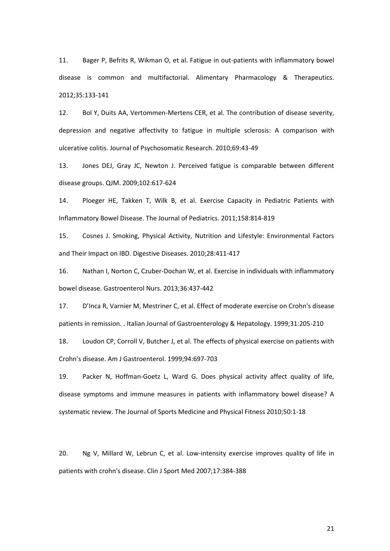11. Bager P, Befrits R, Wikman O, et al. Fatigue in out-patients with inflammatory bowel disease is common and multifactorial. Alimentary Pharmacology & Therapeutics. 2012;35:133-141

12. Bol Y, Duits AA, Vertommen-Mertens CER, et al. The contribution of disease severity, depression and negative affectivity to fatigue in multiple sclerosis: A comparison with ulcerative colitis. Journal of Psychosomatic Research. 2010;69:43-49

13. Jones DEJ, Gray JC, Newton J. Perceived fatigue is comparable between different disease groups. QJM. 2009;102:617-624

14. Ploeger HE, Takken T, Wilk B, et al. Exercise Capacity in Pediatric Patients with Inflammatory Bowel Disease. The Journal of Pediatrics. 2011;158:814-819

15. Cosnes J. Smoking, Physical Activity, Nutrition and Lifestyle: Environmental Factors and Their Impact on IBD. Digestive Diseases. 2010;28:411-417

16. Nathan I, Norton C, Czuber-Dochan W, et al. Exercise in individuals with inflammatory bowel disease. Gastroenterol Nurs. 2013;36:437-442

17. D'Inca R, Varnier M, Mestriner C, et al. Effect of moderate exercise on Crohn's disease patients in remission. . Italian Journal of Gastroenterology & Hepatology. 1999;31:205-210

18. Loudon CP, Corroll V, Butcher J, et al. The effects of physical exercise on patients with Crohn's disease. Am J Gastroenterol. 1999;94:697-703

19. Packer N, Hoffman-Goetz L, Ward G. Does physical activity affect quality of life, disease symptoms and immune measures in patients with inflammatory bowel disease? A systematic review. The Journal of Sports Medicine and Physical Fitness 2010;50:1-18

20. Ng V, Millard W, Lebrun C, et al. Low-intensity exercise improves quality of life in patients with crohn's disease. Clin J Sport Med 2007;17:384-388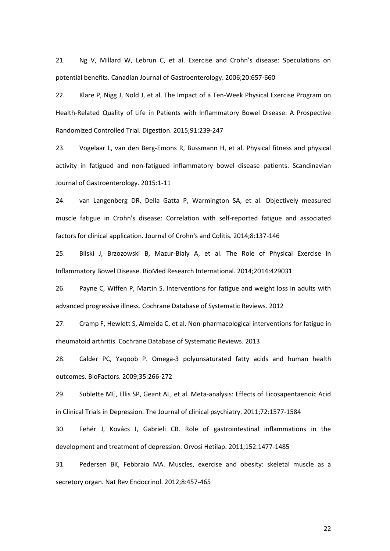21. Ng V, Millard W, Lebrun C, et al. Exercise and Crohn's disease: Speculations on potential benefits. Canadian Journal of Gastroenterology. 2006;20:657-660

22. Klare P, Nigg J, Nold J, et al. The Impact of a Ten-Week Physical Exercise Program on Health-Related Quality of Life in Patients with Inflammatory Bowel Disease: A Prospective Randomized Controlled Trial. Digestion. 2015;91:239-247

23. Vogelaar L, van den Berg-Emons R, Bussmann H, et al. Physical fitness and physical activity in fatigued and non-fatigued inflammatory bowel disease patients. Scandinavian Journal of Gastroenterology. 2015:1-11

24. van Langenberg DR, Della Gatta P, Warmington SA, et al. Objectively measured muscle fatigue in Crohn's disease: Correlation with self-reported fatigue and associated factors for clinical application. Journal of Crohn's and Colitis. 2014;8:137-146

25. Bilski J, Brzozowski B, Mazur-Bialy A, et al. The Role of Physical Exercise in Inflammatory Bowel Disease. BioMed Research International. 2014;2014:429031

26. Payne C, Wiffen P, Martin S. Interventions for fatigue and weight loss in adults with advanced progressive illness. Cochrane Database of Systematic Reviews. 2012

27. Cramp F, Hewlett S, Almeida C, et al. Non-pharmacological interventions for fatigue in rheumatoid arthritis. Cochrane Database of Systematic Reviews. 2013

28. Calder PC, Yaqoob P. Omega-3 polyunsaturated fatty acids and human health outcomes. BioFactors. 2009;35:266-272

29. Sublette ME, Ellis SP, Geant AL, et al. Meta-analysis: Effects of Eicosapentaenoic Acid in Clinical Trials in Depression. The Journal of clinical psychiatry. 2011;72:1577-1584

30. Fehér J, Kovács I, Gabrieli CB. Role of gastrointestinal inflammations in the development and treatment of depression. Orvosi Hetilap. 2011;152:1477-1485

31. Pedersen BK, Febbraio MA. Muscles, exercise and obesity: skeletal muscle as a secretory organ. Nat Rev Endocrinol. 2012;8:457-465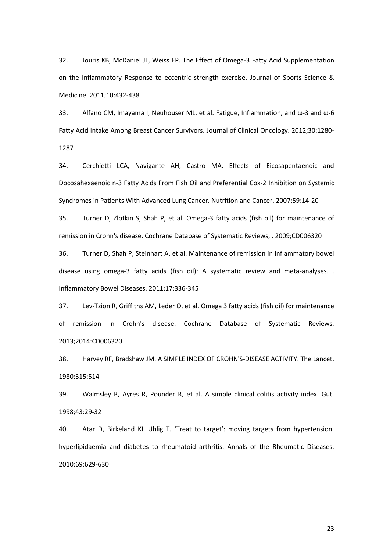32. Jouris KB, McDaniel JL, Weiss EP. The Effect of Omega-3 Fatty Acid Supplementation on the Inflammatory Response to eccentric strength exercise. Journal of Sports Science & Medicine. 2011;10:432-438

33. Alfano CM, Imayama I, Neuhouser ML, et al. Fatigue, Inflammation, and ω-3 and ω-6 Fatty Acid Intake Among Breast Cancer Survivors. Journal of Clinical Oncology. 2012;30:1280- 1287

34. Cerchietti LCA, Navigante AH, Castro MA. Effects of Eicosapentaenoic and Docosahexaenoic n-3 Fatty Acids From Fish Oil and Preferential Cox-2 Inhibition on Systemic Syndromes in Patients With Advanced Lung Cancer. Nutrition and Cancer. 2007;59:14-20

35. Turner D, Zlotkin S, Shah P, et al. Omega-3 fatty acids (fish oil) for maintenance of remission in Crohn's disease. Cochrane Database of Systematic Reviews, . 2009;CD006320

36. Turner D, Shah P, Steinhart A, et al. Maintenance of remission in inflammatory bowel disease using omega-3 fatty acids (fish oil): A systematic review and meta-analyses. . Inflammatory Bowel Diseases. 2011;17:336-345

37. Lev-Tzion R, Griffiths AM, Leder O, et al. Omega 3 fatty acids (fish oil) for maintenance of remission in Crohn's disease. Cochrane Database of Systematic Reviews. 2013;2014:CD006320

38. Harvey RF, Bradshaw JM. A SIMPLE INDEX OF CROHN'S-DISEASE ACTIVITY. The Lancet. 1980;315:514

39. Walmsley R, Ayres R, Pounder R, et al. A simple clinical colitis activity index. Gut. 1998;43:29-32

40. Atar D, Birkeland KI, Uhlig T. 'Treat to target': moving targets from hypertension, hyperlipidaemia and diabetes to rheumatoid arthritis. Annals of the Rheumatic Diseases. 2010;69:629-630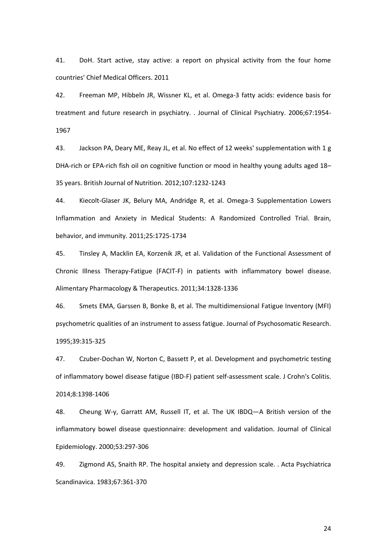41. DoH. Start active, stay active: a report on physical activity from the four home countries' Chief Medical Officers. 2011

42. Freeman MP, Hibbeln JR, Wissner KL, et al. Omega-3 fatty acids: evidence basis for treatment and future research in psychiatry. . Journal of Clinical Psychiatry. 2006;67:1954- 1967

43. Jackson PA, Deary ME, Reay JL, et al. No effect of 12 weeks' supplementation with 1 g DHA-rich or EPA-rich fish oil on cognitive function or mood in healthy young adults aged 18– 35 years. British Journal of Nutrition. 2012;107:1232-1243

44. Kiecolt-Glaser JK, Belury MA, Andridge R, et al. Omega-3 Supplementation Lowers Inflammation and Anxiety in Medical Students: A Randomized Controlled Trial. Brain, behavior, and immunity. 2011;25:1725-1734

45. Tinsley A, Macklin EA, Korzenik JR, et al. Validation of the Functional Assessment of Chronic Illness Therapy-Fatigue (FACIT-F) in patients with inflammatory bowel disease. Alimentary Pharmacology & Therapeutics. 2011;34:1328-1336

46. Smets EMA, Garssen B, Bonke B, et al. The multidimensional Fatigue Inventory (MFI) psychometric qualities of an instrument to assess fatigue. Journal of Psychosomatic Research. 1995;39:315-325

47. Czuber-Dochan W, Norton C, Bassett P, et al. Development and psychometric testing of inflammatory bowel disease fatigue (IBD-F) patient self-assessment scale. J Crohn's Colitis. 2014;8:1398-1406

48. Cheung W-y, Garratt AM, Russell IT, et al. The UK IBDQ—A British version of the inflammatory bowel disease questionnaire: development and validation. Journal of Clinical Epidemiology. 2000;53:297-306

49. Zigmond AS, Snaith RP. The hospital anxiety and depression scale. . Acta Psychiatrica Scandinavica. 1983;67:361-370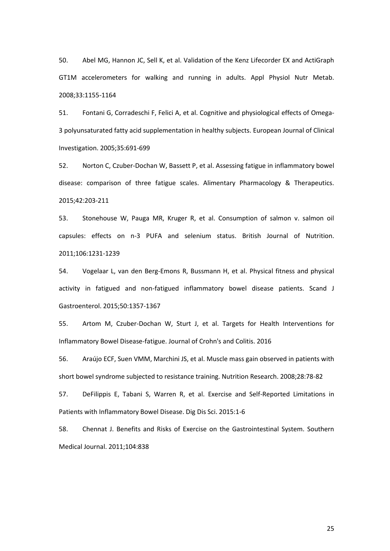50. Abel MG, Hannon JC, Sell K, et al. Validation of the Kenz Lifecorder EX and ActiGraph GT1M accelerometers for walking and running in adults. Appl Physiol Nutr Metab. 2008;33:1155-1164

51. Fontani G, Corradeschi F, Felici A, et al. Cognitive and physiological effects of Omega-3 polyunsaturated fatty acid supplementation in healthy subjects. European Journal of Clinical Investigation. 2005;35:691-699

52. Norton C, Czuber-Dochan W, Bassett P, et al. Assessing fatigue in inflammatory bowel disease: comparison of three fatigue scales. Alimentary Pharmacology & Therapeutics. 2015;42:203-211

53. Stonehouse W, Pauga MR, Kruger R, et al. Consumption of salmon v. salmon oil capsules: effects on n-3 PUFA and selenium status. British Journal of Nutrition. 2011;106:1231-1239

54. Vogelaar L, van den Berg-Emons R, Bussmann H, et al. Physical fitness and physical activity in fatigued and non-fatigued inflammatory bowel disease patients. Scand J Gastroenterol. 2015;50:1357-1367

55. Artom M, Czuber-Dochan W, Sturt J, et al. Targets for Health Interventions for Inflammatory Bowel Disease-fatigue. Journal of Crohn's and Colitis. 2016

56. Araújo ECF, Suen VMM, Marchini JS, et al. Muscle mass gain observed in patients with short bowel syndrome subjected to resistance training. Nutrition Research. 2008;28:78-82

57. DeFilippis E, Tabani S, Warren R, et al. Exercise and Self-Reported Limitations in Patients with Inflammatory Bowel Disease. Dig Dis Sci. 2015:1-6

58. Chennat J. Benefits and Risks of Exercise on the Gastrointestinal System. Southern Medical Journal. 2011;104:838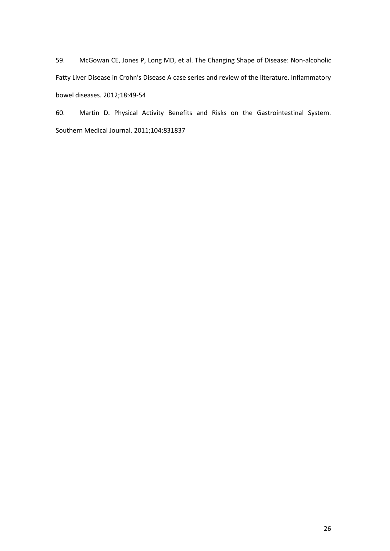59. McGowan CE, Jones P, Long MD, et al. The Changing Shape of Disease: Non-alcoholic Fatty Liver Disease in Crohn's Disease A case series and review of the literature. Inflammatory bowel diseases. 2012;18:49-54

60. Martin D. Physical Activity Benefits and Risks on the Gastrointestinal System. Southern Medical Journal. 2011;104:831837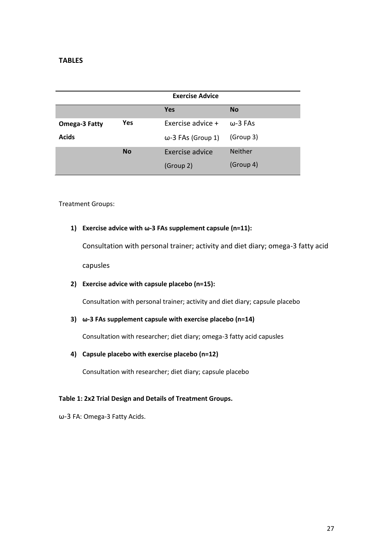# **TABLES**

|               | <b>Exercise Advice</b> |                           |                 |
|---------------|------------------------|---------------------------|-----------------|
|               |                        | <b>Yes</b>                | <b>No</b>       |
| Omega-3 Fatty | Yes                    | Exercise advice +         | $\omega$ -3 FAs |
| <b>Acids</b>  |                        | $\omega$ -3 FAs (Group 1) | (Group 3)       |
|               | <b>No</b>              | Exercise advice           | <b>Neither</b>  |
|               |                        | (Group 2)                 | (Group 4)       |

Treatment Groups:

# **1) Exercise advice with ω-3 FAs supplement capsule (n=11):**

Consultation with personal trainer; activity and diet diary; omega-3 fatty acid capusles

# **2) Exercise advice with capsule placebo (n=15):**

Consultation with personal trainer; activity and diet diary; capsule placebo

# **3) ω-3 FAs supplement capsule with exercise placebo (n=14)**

Consultation with researcher; diet diary; omega-3 fatty acid capusles

# **4) Capsule placebo with exercise placebo (n=12)**

Consultation with researcher; diet diary; capsule placebo

# **Table 1: 2x2 Trial Design and Details of Treatment Groups.**

ω-3 FA: Omega-3 Fatty Acids.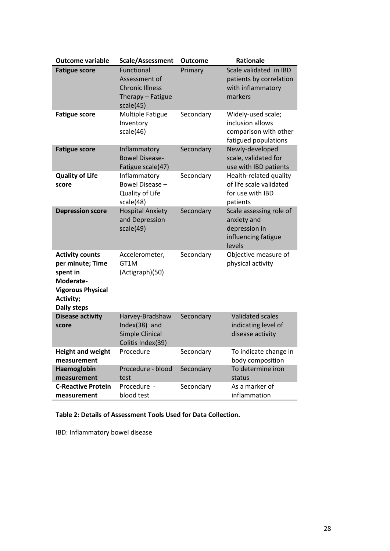| <b>Outcome variable</b>                                                                                                            | Scale/Assessment                                                                        | <b>Outcome</b> | <b>Rationale</b>                                                                         |
|------------------------------------------------------------------------------------------------------------------------------------|-----------------------------------------------------------------------------------------|----------------|------------------------------------------------------------------------------------------|
| <b>Fatigue score</b>                                                                                                               | Functional<br>Assessment of<br><b>Chronic Illness</b><br>Therapy - Fatigue<br>scale(45) | Primary        | Scale validated in IBD<br>patients by correlation<br>with inflammatory<br>markers        |
| <b>Fatigue score</b>                                                                                                               | <b>Multiple Fatigue</b><br>Inventory<br>scale(46)                                       | Secondary      | Widely-used scale;<br>inclusion allows<br>comparison with other<br>fatigued populations  |
| <b>Fatigue score</b>                                                                                                               | Inflammatory<br><b>Bowel Disease-</b><br>Fatigue scale(47)                              | Secondary      | Newly-developed<br>scale, validated for<br>use with IBD patients                         |
| <b>Quality of Life</b><br>score                                                                                                    | Inflammatory<br>Bowel Disease -<br>Quality of Life<br>scale(48)                         | Secondary      | Health-related quality<br>of life scale validated<br>for use with IBD<br>patients        |
| <b>Depression score</b>                                                                                                            | <b>Hospital Anxiety</b><br>and Depression<br>scale(49)                                  | Secondary      | Scale assessing role of<br>anxiety and<br>depression in<br>influencing fatigue<br>levels |
| <b>Activity counts</b><br>per minute; Time<br>spent in<br>Moderate-<br><b>Vigorous Physical</b><br>Activity;<br><b>Daily steps</b> | Accelerometer,<br>GT1M<br>(Actigraph)(50)                                               | Secondary      | Objective measure of<br>physical activity                                                |
| <b>Disease activity</b><br>score                                                                                                   | Harvey-Bradshaw<br>Index(38) and<br>Simple Clinical<br>Colitis Index(39)                | Secondary      | <b>Validated scales</b><br>indicating level of<br>disease activity                       |
| <b>Height and weight</b><br>measurement                                                                                            | Procedure                                                                               | Secondary      | To indicate change in<br>body composition                                                |
| Haemoglobin                                                                                                                        | Procedure - blood                                                                       | Secondary      | To determine iron                                                                        |
| measurement                                                                                                                        | test                                                                                    |                | status                                                                                   |
| <b>C-Reactive Protein</b><br>measurement                                                                                           | Procedure -<br>blood test                                                               | Secondary      | As a marker of<br>inflammation                                                           |

# **Table 2: Details of Assessment Tools Used for Data Collection.**

IBD: Inflammatory bowel disease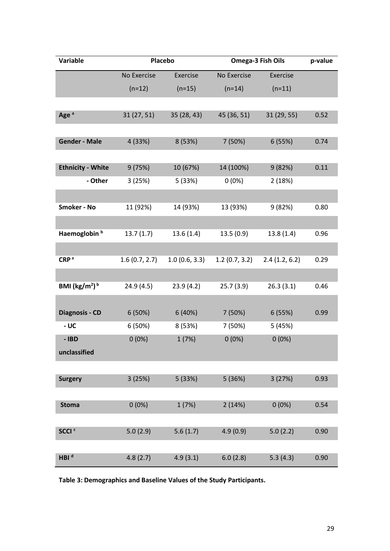| Variable                             | <b>Placebo</b> |               | Omega-3 Fish Oils |               | p-value |
|--------------------------------------|----------------|---------------|-------------------|---------------|---------|
|                                      | No Exercise    | Exercise      | No Exercise       | Exercise      |         |
|                                      | $(n=12)$       | $(n=15)$      | $(n=14)$          | $(n=11)$      |         |
|                                      |                |               |                   |               |         |
| Age <sup>a</sup>                     | 31(27, 51)     | 35 (28, 43)   | 45 (36, 51)       | 31 (29, 55)   | 0.52    |
|                                      |                |               |                   |               |         |
| <b>Gender - Male</b>                 | 4 (33%)        | 8 (53%)       | 7 (50%)           | 6 (55%)       | 0.74    |
|                                      |                |               |                   |               |         |
| <b>Ethnicity - White</b>             | 9(75%)         | 10 (67%)      | 14 (100%)         | 9(82%)        | 0.11    |
| - Other                              | 3(25%)         | 5 (33%)       | $0(0\%)$          | 2(18%)        |         |
|                                      |                |               |                   |               |         |
| <b>Smoker - No</b>                   | 11 (92%)       | 14 (93%)      | 13 (93%)          | 9 (82%)       | 0.80    |
|                                      |                |               |                   |               |         |
| Haemoglobin <sup>b</sup>             | 13.7(1.7)      | 13.6(1.4)     | 13.5(0.9)         | 13.8(1.4)     | 0.96    |
|                                      |                |               |                   |               |         |
| CRP <sup>a</sup>                     | 1.6(0.7, 2.7)  | 1.0(0.6, 3.3) | 1.2(0.7, 3.2)     | 2.4(1.2, 6.2) | 0.29    |
|                                      |                |               |                   |               |         |
| BMI ( $\text{kg/m}^2$ ) <sup>b</sup> | 24.9 (4.5)     | 23.9(4.2)     | 25.7(3.9)         | 26.3(3.1)     | 0.46    |
|                                      |                |               |                   |               |         |
| <b>Diagnosis - CD</b>                | 6(50%)         | 6(40%)        | 7 (50%)           | 6(55%)        | 0.99    |
| - UC                                 | 6(50%)         | 8 (53%)       | 7 (50%)           | 5 (45%)       |         |
| - IBD                                | $0(0\%)$       | 1(7%)         | $0(0\%)$          | $0(0\%)$      |         |
| unclassified                         |                |               |                   |               |         |
|                                      |                |               |                   |               |         |
| <b>Surgery</b>                       | 3(25%)         | 5 (33%)       | 5 (36%)           | 3(27%)        | 0.93    |
|                                      |                |               |                   |               |         |
| <b>Stoma</b>                         | $0(0\%)$       | 1(7%)         | 2(14%)            | $0(0\%)$      | 0.54    |
|                                      |                |               |                   |               |         |
| SCCI <sup>c</sup>                    | 5.0(2.9)       | 5.6(1.7)      | 4.9(0.9)          | 5.0(2.2)      | 0.90    |
|                                      |                |               |                   |               |         |
| HBI <sup>d</sup>                     | 4.8(2.7)       | 4.9(3.1)      | 6.0(2.8)          | 5.3(4.3)      | 0.90    |

**Table 3: Demographics and Baseline Values of the Study Participants.**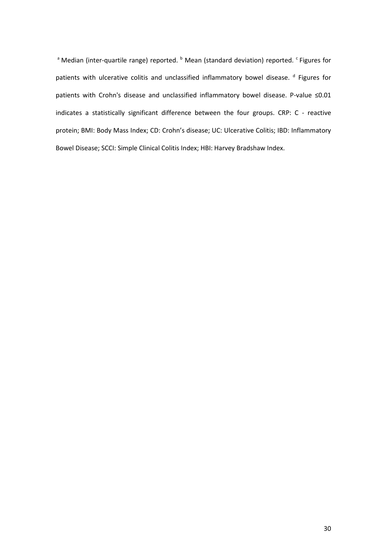<sup>a</sup> Median (inter-quartile range) reported. <sup>b</sup> Mean (standard deviation) reported. <sup>c</sup> Figures for patients with ulcerative colitis and unclassified inflammatory bowel disease. <sup>d</sup> Figures for patients with Crohn's disease and unclassified inflammatory bowel disease. P-value ≤0.01 indicates a statistically significant difference between the four groups. CRP: C - reactive protein; BMI: Body Mass Index; CD: Crohn's disease; UC: Ulcerative Colitis; IBD: Inflammatory Bowel Disease; SCCI: Simple Clinical Colitis Index; HBI: Harvey Bradshaw Index.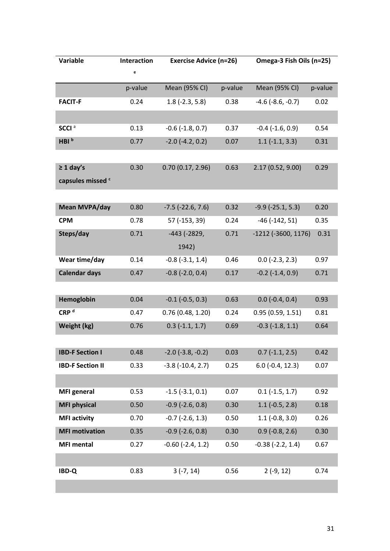| <b>Variable</b>         | <b>Interaction</b> | <b>Exercise Advice (n=26)</b> |         | Omega-3 Fish Oils (n=25)   |         |
|-------------------------|--------------------|-------------------------------|---------|----------------------------|---------|
|                         | e                  |                               |         |                            |         |
|                         | p-value            | Mean (95% CI)                 | p-value | <b>Mean (95% CI)</b>       | p-value |
| <b>FACIT-F</b>          | 0.24               | $1.8$ (-2.3, 5.8)             | 0.38    | $-4.6$ ( $-8.6$ , $-0.7$ ) | 0.02    |
|                         |                    |                               |         |                            |         |
| SCCI <sup>a</sup>       | 0.13               | $-0.6$ $(-1.8, 0.7)$          | 0.37    | $-0.4$ $(-1.6, 0.9)$       | 0.54    |
| HBI <sup>b</sup>        | 0.77               | $-2.0$ $(-4.2, 0.2)$          | 0.07    | $1.1$ (-1.1, 3.3)          | 0.31    |
|                         |                    |                               |         |                            |         |
| $\geq 1$ day's          | 0.30               | 0.70(0.17, 2.96)              | 0.63    | 2.17 (0.52, 9.00)          | 0.29    |
| capsules missed c       |                    |                               |         |                            |         |
|                         |                    |                               |         |                            |         |
| Mean MVPA/day           | 0.80               | $-7.5$ ( $-22.6$ , $7.6$ )    | 0.32    | $-9.9$ ( $-25.1$ , 5.3)    | 0.20    |
| <b>CPM</b>              | 0.78               | 57 (-153, 39)                 | 0.24    | $-46$ ( $-142$ , 51)       | 0.35    |
| Steps/day               | 0.71               | $-443$ ( $-2829$ ,            | 0.71    | $-1212$ ( $-3600, 1176$ )  | 0.31    |
|                         |                    | 1942)                         |         |                            |         |
| Wear time/day           | 0.14               | $-0.8$ $(-3.1, 1.4)$          | 0.46    | $0.0$ (-2.3, 2.3)          | 0.97    |
| <b>Calendar days</b>    | 0.47               | $-0.8$ $(-2.0, 0.4)$          | 0.17    | $-0.2$ $(-1.4, 0.9)$       | 0.71    |
|                         |                    |                               |         |                            |         |
| Hemoglobin              | 0.04               | $-0.1$ ( $-0.5$ , 0.3)        | 0.63    | $0.0$ (-0.4, 0.4)          | 0.93    |
| CRP <sup>d</sup>        | 0.47               | 0.76(0.48, 1.20)              | 0.24    | 0.95(0.59, 1.51)           | 0.81    |
| Weight (kg)             | 0.76               | $0.3$ (-1.1, 1.7)             | 0.69    | $-0.3$ $(-1.8, 1.1)$       | 0.64    |
|                         |                    |                               |         |                            |         |
| <b>IBD-F Section I</b>  | 0.48               | $-2.0$ ( $-3.8$ , $-0.2$ )    | 0.03    | $0.7$ (-1.1, 2.5)          | 0.42    |
| <b>IBD-F Section II</b> | 0.33               | $-3.8$ $(-10.4, 2.7)$         | 0.25    | $6.0$ (-0.4, 12.3)         | 0.07    |
|                         |                    |                               |         |                            |         |
| <b>MFI</b> general      | 0.53               | $-1.5$ $(-3.1, 0.1)$          | 0.07    | $0.1$ (-1.5, 1.7)          | 0.92    |
| <b>MFI physical</b>     | 0.50               | $-0.9$ ( $-2.6$ , 0.8)        | 0.30    | $1.1$ (-0.5, 2.8)          | 0.18    |
| <b>MFI activity</b>     | 0.70               | $-0.7$ $(-2.6, 1.3)$          | 0.50    | $1.1$ (-0.8, 3.0)          | 0.26    |
| <b>MFI motivation</b>   | 0.35               | $-0.9$ $(-2.6, 0.8)$          | 0.30    | $0.9$ (-0.8, 2.6)          | 0.30    |
| <b>MFI mental</b>       | 0.27               | $-0.60$ $(-2.4, 1.2)$         | 0.50    | $-0.38$ $(-2.2, 1.4)$      | 0.67    |
|                         |                    |                               |         |                            |         |
| <b>IBD-Q</b>            | 0.83               | $3(-7, 14)$                   | 0.56    | $2(-9, 12)$                | 0.74    |
|                         |                    |                               |         |                            |         |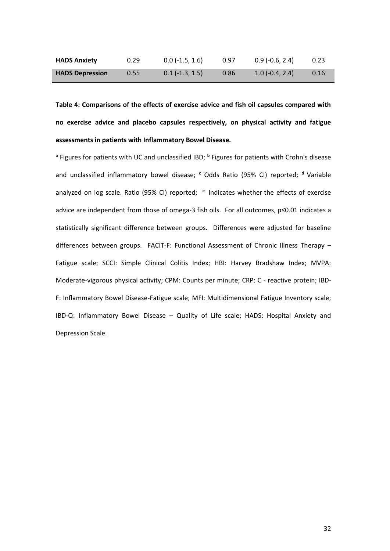| <b>HADS Anxiety</b>    | 0.29 | $0.0$ (-1.5, 1.6) | 0.97 | $0.9$ (-0.6, 2.4) | 0.23 |
|------------------------|------|-------------------|------|-------------------|------|
| <b>HADS Depression</b> | 0.55 | $0.1$ (-1.3, 1.5) | 0.86 | $1.0(-0.4, 2.4)$  | 0.16 |

**Table 4: Comparisons of the effects of exercise advice and fish oil capsules compared with no exercise advice and placebo capsules respectively, on physical activity and fatigue assessments in patients with Inflammatory Bowel Disease.**

<sup>a</sup> Figures for patients with UC and unclassified IBD; <sup>b</sup> Figures for patients with Crohn's disease and unclassified inflammatory bowel disease; <sup>c</sup> Odds Ratio (95% CI) reported; <sup>d</sup> Variable analyzed on log scale. Ratio (95% CI) reported; **<sup>e</sup>**Indicates whether the effects of exercise advice are independent from those of omega-3 fish oils. For all outcomes, p≤0.01 indicates a statistically significant difference between groups. Differences were adjusted for baseline differences between groups. FACIT-F: Functional Assessment of Chronic Illness Therapy – Fatigue scale; SCCI: Simple Clinical Colitis Index; HBI: Harvey Bradshaw Index; MVPA: Moderate-vigorous physical activity; CPM: Counts per minute; CRP: C - reactive protein; IBD-F: Inflammatory Bowel Disease-Fatigue scale; MFI: Multidimensional Fatigue Inventory scale; IBD-Q: Inflammatory Bowel Disease – Quality of Life scale; HADS: Hospital Anxiety and Depression Scale.